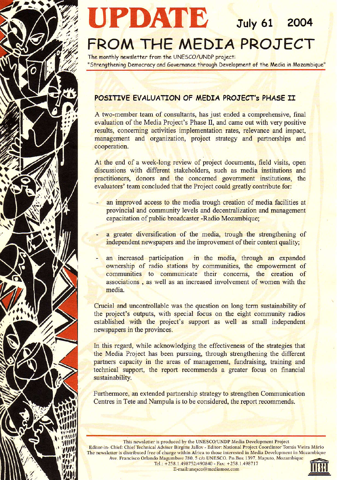

July 61 2004

# FROM THE MEDIA PROJECT

The monthly newsletter from the UNESCO/UNDP project: "Strengthening Democracy and Governance through Development of the Media in Mozambique"

# POSITIVE EVALUATION OF MEDIA PROJECT'S PHASE II

A two-member team of consultants, has just ended a comprehensive, final evaluation of the Media Project's Phase II, and came out with very positive results, concerning activities implementation rates, relevance and impact, management and organization, project strategy and partnerships and cooperation.

At the end of a week-long review of project documents, field visits, open discussions with different stakeholders, such as media institutions and practitioners, donors and the concerned government institutions, the evaluators' team concluded that the Project could greatly contribute for:

- an improved access to the media trough creation of media facilities at provincial and community levels and decentralization and management capacitation of public broadcaster -Radio Mozambique;
	- a greater diversification of the media, trough the strengthening of independent newspapers and the improvement of their content quality;
- an increased participation in the media, through an expanded ownership of radio stations by communities, the empowerment of communities to communicate their concerns, the creation of associations, as well as an increased involvement of women with the media.

Crucial and uncontrollable was the question on long term sustainability of the project's outputs, with special focus on the eight community radios established with the project's support as well as small independent newspapers in the provinces.

In this regard, while acknowledging the effectiveness of the strategies that the Media Project has been pursuing, through strengthening the different partners capacity in the areas of management, fundraising, training and technical support, the report recommends a greater focus on financial sustainability.

Furthermore, an extended partnership strategy to strengthen Communication Centres in Tete and Nampula is to be considered, the report recommends.

This newsletter is produced by the UNESCO/UNDP Media Development Project Editor-in- Chief: Chief Technical Adviser Birgitte Jallov - Editor: National Project Coordintor Tomás Vieira Mário The newsletter is distributed free of charge within Africa to those interested in Media Development in Mozambique Ave. Francisco Orlando Magumbwe 780, 5 c/o UNESCO. P.o.Box 1397, Maputo, Mozambique Tel.: +258.1.498752/490840 - Fax: +258.1.498717

E-mail:unesco@mediamoz.com